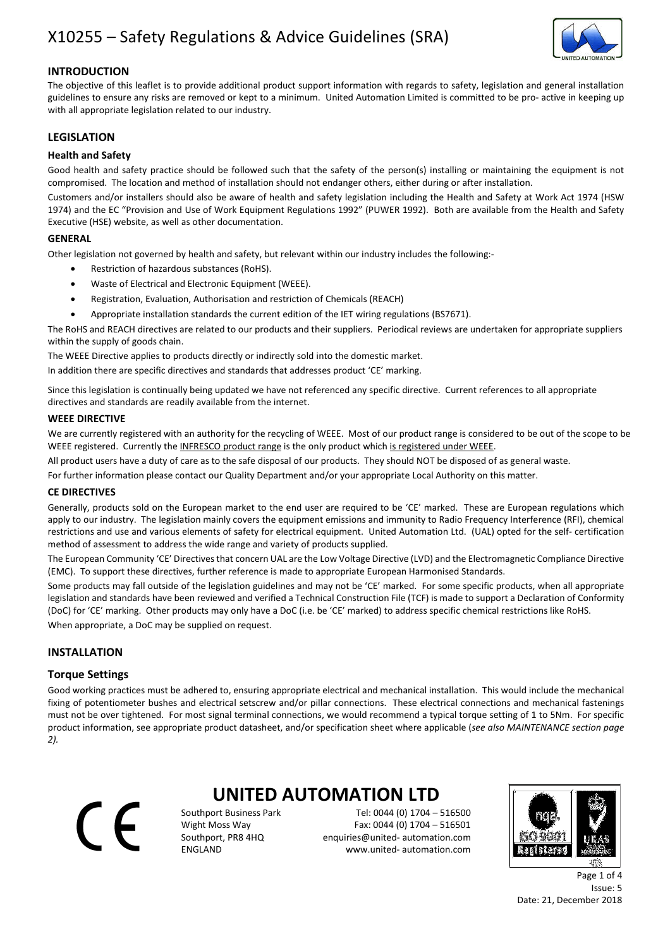# X10255 – Safety Regulations & Advice Guidelines (SRA)



## INTRODUCTION

The objective of this leaflet is to provide additional product support information with regards to safety, legislation and general installation guidelines to ensure any risks are removed or kept to a minimum. United Automation Limited is committed to be pro- active in keeping up with all appropriate legislation related to our industry.

## **LEGISLATION**

### Health and Safety

Good health and safety practice should be followed such that the safety of the person(s) installing or maintaining the equipment is not compromised. The location and method of installation should not endanger others, either during or after installation.

Customers and/or installers should also be aware of health and safety legislation including the Health and Safety at Work Act 1974 (HSW 1974) and the EC "Provision and Use of Work Equipment Regulations 1992" (PUWER 1992). Both are available from the Health and Safety Executive (HSE) website, as well as other documentation.

### GENERAL

Other legislation not governed by health and safety, but relevant within our industry includes the following:-

- Restriction of hazardous substances (RoHS).
- Waste of Electrical and Electronic Equipment (WEEE).
- Registration, Evaluation, Authorisation and restriction of Chemicals (REACH)
- Appropriate installation standards the current edition of the IET wiring regulations (BS7671).

The RoHS and REACH directives are related to our products and their suppliers. Periodical reviews are undertaken for appropriate suppliers within the supply of goods chain.

The WEEE Directive applies to products directly or indirectly sold into the domestic market.

In addition there are specific directives and standards that addresses product 'CE' marking.

Since this legislation is continually being updated we have not referenced any specific directive. Current references to all appropriate directives and standards are readily available from the internet.

#### WEEE DIRECTIVE

We are currently registered with an authority for the recycling of WEEE. Most of our product range is considered to be out of the scope to be WEEE registered. Currently the INFRESCO product range is the only product which is registered under WEEE

All product users have a duty of care as to the safe disposal of our products. They should NOT be disposed of as general waste.

For further information please contact our Quality Department and/or your appropriate Local Authority on this matter.

#### CE DIRECTIVES

Generally, products sold on the European market to the end user are required to be 'CE' marked. These are European regulations which apply to our industry. The legislation mainly covers the equipment emissions and immunity to Radio Frequency Interference (RFI), chemical restrictions and use and various elements of safety for electrical equipment. United Automation Ltd. (UAL) opted for the self- certification method of assessment to address the wide range and variety of products supplied.

The European Community 'CE' Directives that concern UAL are the Low Voltage Directive (LVD) and the Electromagnetic Compliance Directive (EMC). To support these directives, further reference is made to appropriate European Harmonised Standards.

Some products may fall outside of the legislation guidelines and may not be 'CE' marked. For some specific products, when all appropriate legislation and standards have been reviewed and verified a Technical Construction File (TCF) is made to support a Declaration of Conformity (DoC) for 'CE' marking. Other products may only have a DoC (i.e. be 'CE' marked) to address specific chemical restrictions like RoHS.

When appropriate, a DoC may be supplied on request.

## INSTALLATION

### Torque Settings

Good working practices must be adhered to, ensuring appropriate electrical and mechanical installation. This would include the mechanical fixing of potentiometer bushes and electrical setscrew and/or pillar connections. These electrical connections and mechanical fastenings must not be over tightened. For most signal terminal connections, we would recommend a typical torque setting of 1 to 5Nm. For specific product information, see appropriate product datasheet, and/or specification sheet where applicable (see also MAINTENANCE section page 2).

 $\in$ 

# UNITED AUTOMATION LTD

Southport Business Park Tel: 0044 (0) 1704 – 516500 Wight Moss Way Fax: 0044 (0) 1704 – 516501 Southport, PR8 4HQ enquiries@united- automation.com ENGLAND www.united- automation.com



Page 1 of 4 Issue: 5 Date: 21, December 2018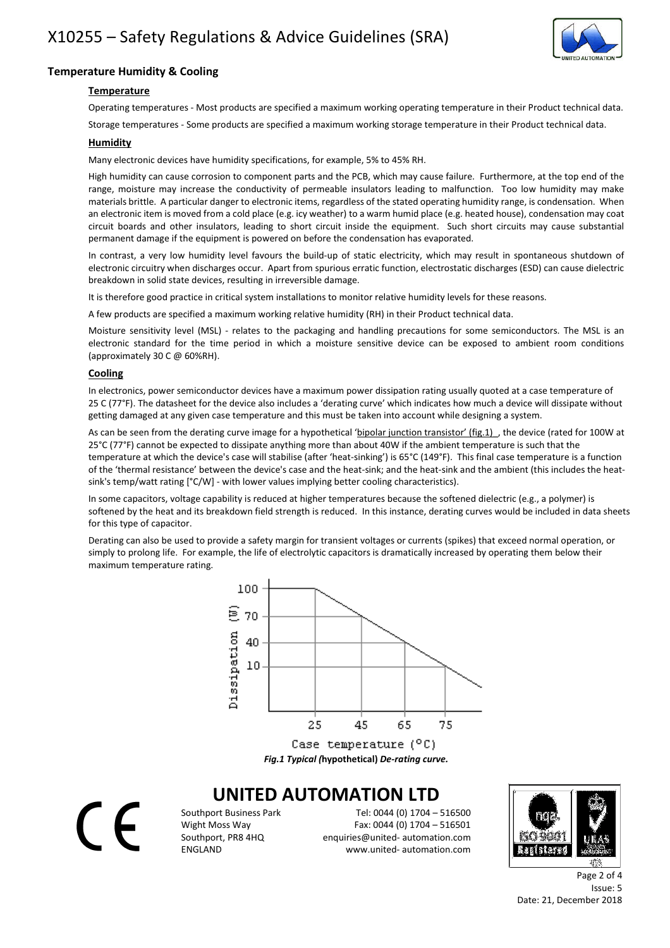

## Temperature Humidity & Cooling

## **Temperature**

Operating temperatures - Most products are specified a maximum working operating temperature in their Product technical data.

Storage temperatures - Some products are specified a maximum working storage temperature in their Product technical data.

### Humidity

Many electronic devices have humidity specifications, for example, 5% to 45% RH.

High humidity can cause corrosion to component parts and the PCB, which may cause failure. Furthermore, at the top end of the range, moisture may increase the conductivity of permeable insulators leading to malfunction. Too low humidity may make materials brittle. A particular danger to electronic items, regardless of the stated operating humidity range, is condensation. When an electronic item is moved from a cold place (e.g. icy weather) to a warm humid place (e.g. heated house), condensation may coat circuit boards and other insulators, leading to short circuit inside the equipment. Such short circuits may cause substantial permanent damage if the equipment is powered on before the condensation has evaporated.

In contrast, a very low humidity level favours the build-up of static electricity, which may result in spontaneous shutdown of electronic circuitry when discharges occur. Apart from spurious erratic function, electrostatic discharges (ESD) can cause dielectric breakdown in solid state devices, resulting in irreversible damage.

It is therefore good practice in critical system installations to monitor relative humidity levels for these reasons.

A few products are specified a maximum working relative humidity (RH) in their Product technical data.

Moisture sensitivity level (MSL) - relates to the packaging and handling precautions for some semiconductors. The MSL is an electronic standard for the time period in which a moisture sensitive device can be exposed to ambient room conditions (approximately 30 C @ 60%RH).

### **Cooling**

 $\epsilon$ 

In electronics, power semiconductor devices have a maximum power dissipation rating usually quoted at a case temperature of 25 C (77°F). The datasheet for the device also includes a 'derating curve' which indicates how much a device will dissipate without getting damaged at any given case temperature and this must be taken into account while designing a system.

As can be seen from the derating curve image for a hypothetical 'bipolar junction transistor' (fig.1) the device (rated for 100W at 25°C (77°F) cannot be expected to dissipate anything more than about 40W if the ambient temperature is such that the temperature at which the device's case will stabilise (after 'heat-sinking') is 65°C (149°F). This final case temperature is a function of the 'thermal resistance' between the device's case and the heat-sink; and the heat-sink and the ambient (this includes the heatsink's temp/watt rating [°C/W] - with lower values implying better cooling characteristics).

In some capacitors, voltage capability is reduced at higher temperatures because the softened dielectric (e.g., a polymer) is softened by the heat and its breakdown field strength is reduced. In this instance, derating curves would be included in data sheets for this type of capacitor.

Derating can also be used to provide a safety margin for transient voltages or currents (spikes) that exceed normal operation, or simply to prolong life. For example, the life of electrolytic capacitors is dramatically increased by operating them below their maximum temperature rating.



Case temperature  $(°C)$ Fig.1 Typical (hypothetical) De-rating curve.

## UNITED AUTOMATION LTD

Southport Business Park Tel: 0044 (0) 1704 – 516500 Wight Moss Way Fax: 0044 (0) 1704 – 516501 Southport, PR8 4HQ enquiries@united- automation.com ENGLAND www.united- automation.com



Page 2 of 4 Issue: 5 Date: 21, December 2018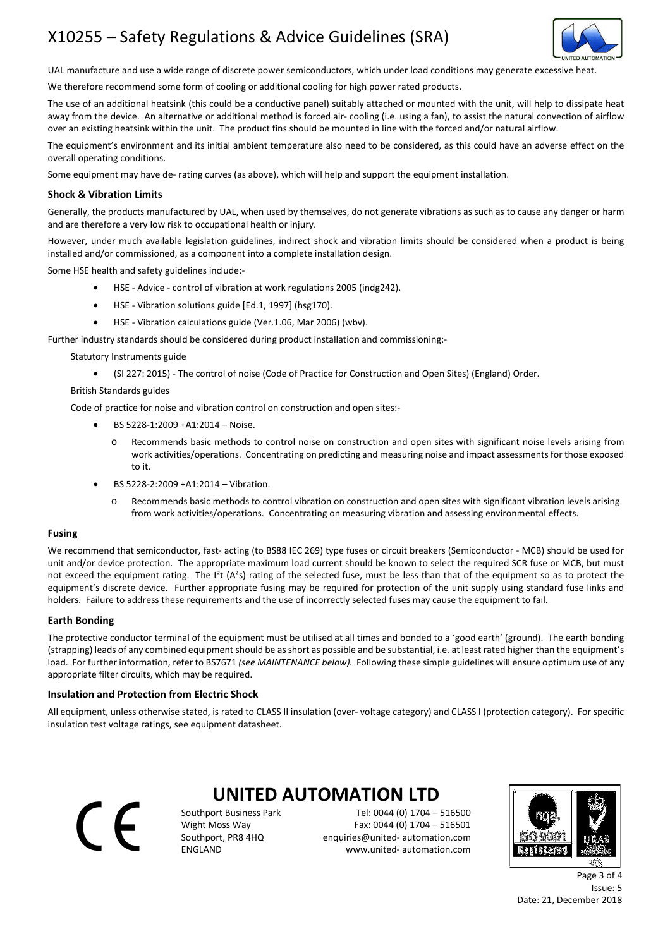# X10255 – Safety Regulations & Advice Guidelines (SRA)



UAL manufacture and use a wide range of discrete power semiconductors, which under load conditions may generate excessive heat.

We therefore recommend some form of cooling or additional cooling for high power rated products.

The use of an additional heatsink (this could be a conductive panel) suitably attached or mounted with the unit, will help to dissipate heat away from the device. An alternative or additional method is forced air- cooling (i.e. using a fan), to assist the natural convection of airflow over an existing heatsink within the unit. The product fins should be mounted in line with the forced and/or natural airflow.

The equipment's environment and its initial ambient temperature also need to be considered, as this could have an adverse effect on the overall operating conditions.

Some equipment may have de- rating curves (as above), which will help and support the equipment installation.

#### Shock & Vibration Limits

Generally, the products manufactured by UAL, when used by themselves, do not generate vibrations as such as to cause any danger or harm and are therefore a very low risk to occupational health or injury.

However, under much available legislation guidelines, indirect shock and vibration limits should be considered when a product is being installed and/or commissioned, as a component into a complete installation design.

Some HSE health and safety guidelines include:-

- HSE Advice control of vibration at work regulations 2005 (indg242).
- HSE Vibration solutions guide [Ed.1, 1997] (hsg170).
- HSE Vibration calculations guide (Ver.1.06, Mar 2006) (wbv).

Further industry standards should be considered during product installation and commissioning:-

Statutory Instruments guide

- (SI 227: 2015) The control of noise (Code of Practice for Construction and Open Sites) (England) Order.
- British Standards guides

Code of practice for noise and vibration control on construction and open sites:-

- BS 5228-1:2009 +A1:2014 Noise.
	- o Recommends basic methods to control noise on construction and open sites with significant noise levels arising from work activities/operations. Concentrating on predicting and measuring noise and impact assessments for those exposed to it.
- BS 5228-2:2009 +A1:2014 Vibration.
	- o Recommends basic methods to control vibration on construction and open sites with significant vibration levels arising from work activities/operations. Concentrating on measuring vibration and assessing environmental effects.

#### Fusing

We recommend that semiconductor, fast- acting (to BS88 IEC 269) type fuses or circuit breakers (Semiconductor - MCB) should be used for unit and/or device protection. The appropriate maximum load current should be known to select the required SCR fuse or MCB, but must not exceed the equipment rating. The  $I^2t$  ( $A^2s$ ) rating of the selected fuse, must be less than that of the equipment so as to protect the equipment's discrete device. Further appropriate fusing may be required for protection of the unit supply using standard fuse links and holders. Failure to address these requirements and the use of incorrectly selected fuses may cause the equipment to fail.

#### Earth Bonding

The protective conductor terminal of the equipment must be utilised at all times and bonded to a 'good earth' (ground). The earth bonding (strapping) leads of any combined equipment should be as short as possible and be substantial, i.e. at least rated higher than the equipment's load. For further information, refer to BS7671 (see MAINTENANCE below). Following these simple guidelines will ensure optimum use of any appropriate filter circuits, which may be required.

#### Insulation and Protection from Electric Shock

All equipment, unless otherwise stated, is rated to CLASS II insulation (over- voltage category) and CLASS I (protection category). For specific insulation test voltage ratings, see equipment datasheet.

 $\epsilon$ 

## UNITED AUTOMATION LTD

Southport Business Park Tel: 0044 (0) 1704 – 516500 Wight Moss Way Fax: 0044 (0) 1704 – 516501 Southport, PR8 4HQ enquiries@united- automation.com ENGLAND www.united- automation.com



Page 3 of 4 Issue: 5 Date: 21, December 2018